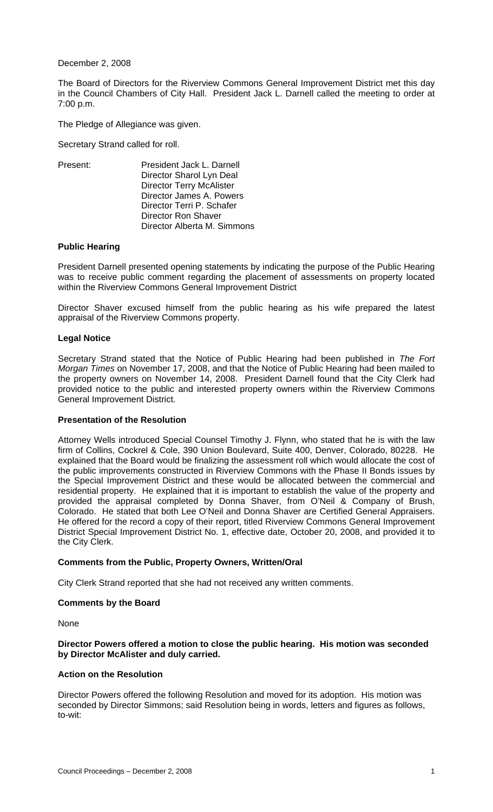December 2, 2008

The Board of Directors for the Riverview Commons General Improvement District met this day in the Council Chambers of City Hall. President Jack L. Darnell called the meeting to order at 7:00 p.m.

The Pledge of Allegiance was given.

Secretary Strand called for roll.

| Present: | President Jack L. Darnell       |
|----------|---------------------------------|
|          | Director Sharol Lyn Deal        |
|          | <b>Director Terry McAlister</b> |
|          | Director James A. Powers        |
|          | Director Terri P. Schafer       |
|          | Director Ron Shaver             |
|          | Director Alberta M. Simmons     |

### **Public Hearing**

 President Darnell presented opening statements by indicating the purpose of the Public Hearing was to receive public comment regarding the placement of assessments on property located within the Riverview Commons General Improvement District

Director Shaver excused himself from the public hearing as his wife prepared the latest appraisal of the Riverview Commons property.

### **Legal Notice**

Secretary Strand stated that the Notice of Public Hearing had been published in *The Fort Morgan Times* on November 17, 2008, and that the Notice of Public Hearing had been mailed to the property owners on November 14, 2008. President Darnell found that the City Clerk had provided notice to the public and interested property owners within the Riverview Commons General Improvement District.

### **Presentation of the Resolution**

 Attorney Wells introduced Special Counsel Timothy J. Flynn, who stated that he is with the law firm of Collins, Cockrel & Cole, 390 Union Boulevard, Suite 400, Denver, Colorado, 80228. He explained that the Board would be finalizing the assessment roll which would allocate the cost of the public improvements constructed in Riverview Commons with the Phase II Bonds issues by the Special Improvement District and these would be allocated between the commercial and residential property. He explained that it is important to establish the value of the property and provided the appraisal completed by Donna Shaver, from O'Neil & Company of Brush, Colorado. He stated that both Lee O'Neil and Donna Shaver are Certified General Appraisers. He offered for the record a copy of their report, titled Riverview Commons General Improvement District Special Improvement District No. 1, effective date, October 20, 2008, and provided it to the City Clerk.

## **Comments from the Public, Property Owners, Written/Oral**

City Clerk Strand reported that she had not received any written comments.

## **Comments by the Board**

None

### **Director Powers offered a motion to close the public hearing. His motion was seconded by Director McAlister and duly carried.**

## **Action on the Resolution**

Director Powers offered the following Resolution and moved for its adoption. His motion was seconded by Director Simmons; said Resolution being in words, letters and figures as follows, to-wit: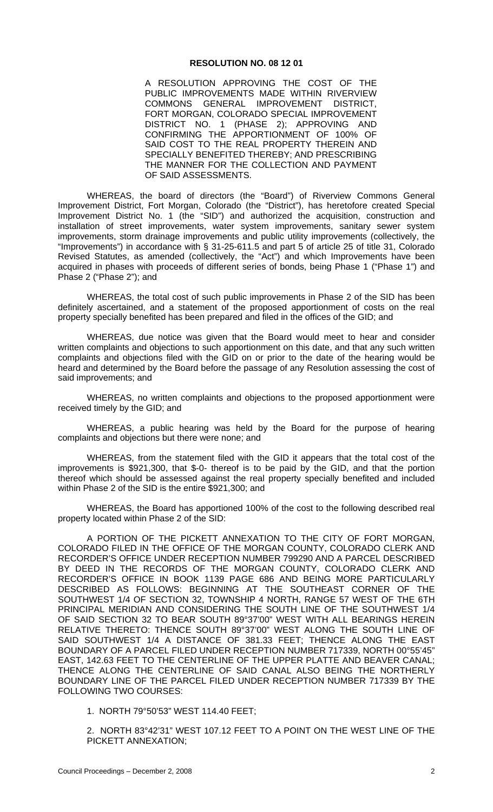#### **RESOLUTION NO. 08 12 01**

A RESOLUTION APPROVING THE COST OF THE PUBLIC IMPROVEMENTS MADE WITHIN RIVERVIEW<br>COMMONS GENERAL IMPROVEMENT DISTRICT, COMMONS GENERAL IMPROVEMENT FORT MORGAN, COLORADO SPECIAL IMPROVEMENT DISTRICT NO. 1 (PHASE 2); APPROVING AND CONFIRMING THE APPORTIONMENT OF 100% OF SAID COST TO THE REAL PROPERTY THEREIN AND SPECIALLY BENEFITED THEREBY; AND PRESCRIBING THE MANNER FOR THE COLLECTION AND PAYMENT OF SAID ASSESSMENTS.

WHEREAS, the board of directors (the "Board") of Riverview Commons General Improvement District, Fort Morgan, Colorado (the "District"), has heretofore created Special Improvement District No. 1 (the "SID") and authorized the acquisition, construction and installation of street improvements, water system improvements, sanitary sewer system improvements, storm drainage improvements and public utility improvements (collectively, the "Improvements") in accordance with § 31-25-611.5 and part 5 of article 25 of title 31, Colorado Revised Statutes, as amended (collectively, the "Act") and which Improvements have been acquired in phases with proceeds of different series of bonds, being Phase 1 ("Phase 1") and Phase 2 ("Phase 2"); and

WHEREAS, the total cost of such public improvements in Phase 2 of the SID has been definitely ascertained, and a statement of the proposed apportionment of costs on the real property specially benefited has been prepared and filed in the offices of the GID; and

WHEREAS, due notice was given that the Board would meet to hear and consider written complaints and objections to such apportionment on this date, and that any such written complaints and objections filed with the GID on or prior to the date of the hearing would be heard and determined by the Board before the passage of any Resolution assessing the cost of said improvements; and

WHEREAS, no written complaints and objections to the proposed apportionment were received timely by the GID; and

WHEREAS, a public hearing was held by the Board for the purpose of hearing complaints and objections but there were none; and

WHEREAS, from the statement filed with the GID it appears that the total cost of the improvements is \$921,300, that \$-0- thereof is to be paid by the GID, and that the portion thereof which should be assessed against the real property specially benefited and included within Phase 2 of the SID is the entire \$921,300; and

WHEREAS, the Board has apportioned 100% of the cost to the following described real property located within Phase 2 of the SID:

A PORTION OF THE PICKETT ANNEXATION TO THE CITY OF FORT MORGAN, COLORADO FILED IN THE OFFICE OF THE MORGAN COUNTY, COLORADO CLERK AND RECORDER'S OFFICE UNDER RECEPTION NUMBER 799290 AND A PARCEL DESCRIBED BY DEED IN THE RECORDS OF THE MORGAN COUNTY, COLORADO CLERK AND RECORDER'S OFFICE IN BOOK 1139 PAGE 686 AND BEING MORE PARTICULARLY DESCRIBED AS FOLLOWS: BEGINNING AT THE SOUTHEAST CORNER OF THE SOUTHWEST 1/4 OF SECTION 32, TOWNSHIP 4 NORTH, RANGE 57 WEST OF THE 6TH PRINCIPAL MERIDIAN AND CONSIDERING THE SOUTH LINE OF THE SOUTHWEST 1/4 OF SAID SECTION 32 TO BEAR SOUTH 89°37'00" WEST WITH ALL BEARINGS HEREIN RELATIVE THERETO: THENCE SOUTH 89°37'00" WEST ALONG THE SOUTH LINE OF SAID SOUTHWEST 1/4 A DISTANCE OF 381.33 FEET; THENCE ALONG THE EAST BOUNDARY OF A PARCEL FILED UNDER RECEPTION NUMBER 717339, NORTH 00°55'45" EAST, 142.63 FEET TO THE CENTERLINE OF THE UPPER PLATTE AND BEAVER CANAL; THENCE ALONG THE CENTERLINE OF SAID CANAL ALSO BEING THE NORTHERLY BOUNDARY LINE OF THE PARCEL FILED UNDER RECEPTION NUMBER 717339 BY THE FOLLOWING TWO COURSES:

1. NORTH 79°50'53" WEST 114.40 FEET;

2. NORTH 83°42'31" WEST 107.12 FEET TO A POINT ON THE WEST LINE OF THE PICKETT ANNEXATION;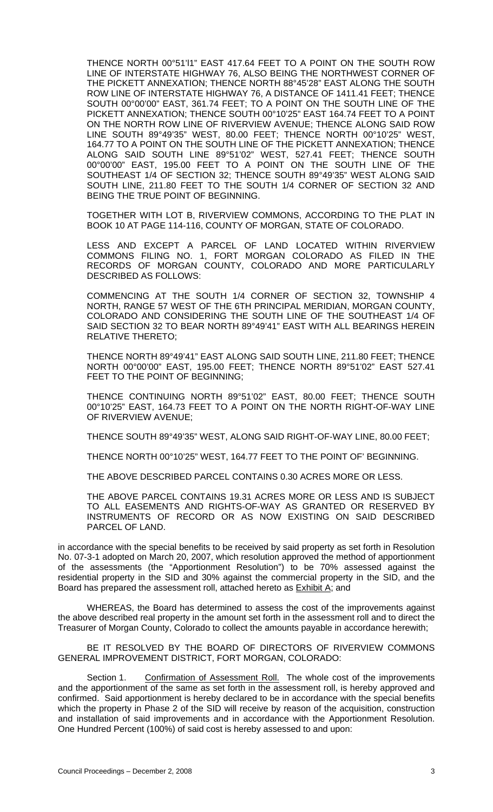THENCE NORTH 00°51'l1" EAST 417.64 FEET TO A POINT ON THE SOUTH ROW LINE OF INTERSTATE HIGHWAY 76, ALSO BEING THE NORTHWEST CORNER OF THE PICKETT ANNEXATION; THENCE NORTH 88°45'28" EAST ALONG THE SOUTH ROW LINE OF INTERSTATE HIGHWAY 76, A DISTANCE OF 1411.41 FEET; THENCE SOUTH 00°00'00" EAST, 361.74 FEET; TO A POINT ON THE SOUTH LINE OF THE PICKETT ANNEXATION; THENCE SOUTH 00°10'25" EAST 164.74 FEET TO A POINT ON THE NORTH ROW LINE OF RIVERVIEW AVENUE; THENCE ALONG SAID ROW LINE SOUTH 89°49'35" WEST, 80.00 FEET; THENCE NORTH 00°10'25" WEST, 164.77 TO A POINT ON THE SOUTH LINE OF THE PICKETT ANNEXATION; THENCE ALONG SAID SOUTH LINE 89°51'02" WEST, 527.41 FEET; THENCE SOUTH 00°00'00" EAST, 195.00 FEET TO A POINT ON THE SOUTH LINE OF THE SOUTHEAST 1/4 OF SECTION 32; THENCE SOUTH 89°49'35" WEST ALONG SAID SOUTH LINE, 211.80 FEET TO THE SOUTH 1/4 CORNER OF SECTION 32 AND BEING THE TRUE POINT OF BEGINNING.

TOGETHER WITH LOT B, RIVERVIEW COMMONS, ACCORDING TO THE PLAT IN BOOK 10 AT PAGE 114-116, COUNTY OF MORGAN, STATE OF COLORADO.

LESS AND EXCEPT A PARCEL OF LAND LOCATED WITHIN RIVERVIEW COMMONS FILING NO. 1, FORT MORGAN COLORADO AS FILED IN THE RECORDS OF MORGAN COUNTY, COLORADO AND MORE PARTICULARLY DESCRIBED AS FOLLOWS:

COMMENCING AT THE SOUTH 1/4 CORNER OF SECTION 32, TOWNSHIP 4 NORTH, RANGE 57 WEST OF THE 6TH PRINCIPAL MERIDIAN, MORGAN COUNTY, COLORADO AND CONSIDERING THE SOUTH LINE OF THE SOUTHEAST 1/4 OF SAID SECTION 32 TO BEAR NORTH 89°49'41" EAST WITH ALL BEARINGS HEREIN RELATIVE THERETO;

THENCE NORTH 89°49'41" EAST ALONG SAID SOUTH LINE, 211.80 FEET; THENCE NORTH 00°00'00" EAST, 195.00 FEET; THENCE NORTH 89°51'02" EAST 527.41 FEET TO THE POINT OF BEGINNING;

THENCE CONTINUING NORTH 89°51'02" EAST, 80.00 FEET; THENCE SOUTH 00°10'25" EAST, 164.73 FEET TO A POINT ON THE NORTH RIGHT-OF-WAY LINE OF RIVERVIEW AVENUE;

THENCE SOUTH 89°49'35" WEST, ALONG SAID RIGHT-OF-WAY LINE, 80.00 FEET;

THENCE NORTH 00°10'25" WEST, 164.77 FEET TO THE POINT OF' BEGINNING.

THE ABOVE DESCRIBED PARCEL CONTAINS 0.30 ACRES MORE OR LESS.

THE ABOVE PARCEL CONTAINS 19.31 ACRES MORE OR LESS AND IS SUBJECT TO ALL EASEMENTS AND RIGHTS-OF-WAY AS GRANTED OR RESERVED BY INSTRUMENTS OF RECORD OR AS NOW EXISTING ON SAID DESCRIBED PARCEL OF LAND.

in accordance with the special benefits to be received by said property as set forth in Resolution No. 07-3-1 adopted on March 20, 2007, which resolution approved the method of apportionment of the assessments (the "Apportionment Resolution") to be 70% assessed against the residential property in the SID and 30% against the commercial property in the SID, and the Board has prepared the assessment roll, attached hereto as **Exhibit A**; and

WHEREAS, the Board has determined to assess the cost of the improvements against the above described real property in the amount set forth in the assessment roll and to direct the Treasurer of Morgan County, Colorado to collect the amounts payable in accordance herewith;

BE IT RESOLVED BY THE BOARD OF DIRECTORS OF RIVERVIEW COMMONS GENERAL IMPROVEMENT DISTRICT, FORT MORGAN, COLORADO:

Section 1. Confirmation of Assessment Roll. The whole cost of the improvements and the apportionment of the same as set forth in the assessment roll, is hereby approved and confirmed. Said apportionment is hereby declared to be in accordance with the special benefits which the property in Phase 2 of the SID will receive by reason of the acquisition, construction and installation of said improvements and in accordance with the Apportionment Resolution. One Hundred Percent (100%) of said cost is hereby assessed to and upon: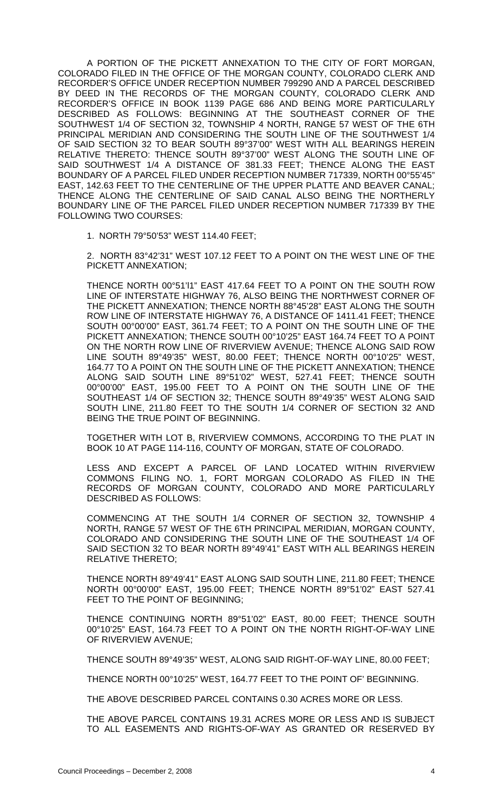A PORTION OF THE PICKETT ANNEXATION TO THE CITY OF FORT MORGAN, COLORADO FILED IN THE OFFICE OF THE MORGAN COUNTY, COLORADO CLERK AND RECORDER'S OFFICE UNDER RECEPTION NUMBER 799290 AND A PARCEL DESCRIBED BY DEED IN THE RECORDS OF THE MORGAN COUNTY, COLORADO CLERK AND RECORDER'S OFFICE IN BOOK 1139 PAGE 686 AND BEING MORE PARTICULARLY DESCRIBED AS FOLLOWS: BEGINNING AT THE SOUTHEAST CORNER OF THE SOUTHWEST 1/4 OF SECTION 32, TOWNSHIP 4 NORTH, RANGE 57 WEST OF THE 6TH PRINCIPAL MERIDIAN AND CONSIDERING THE SOUTH LINE OF THE SOUTHWEST 1/4 OF SAID SECTION 32 TO BEAR SOUTH 89°37'00" WEST WITH ALL BEARINGS HEREIN RELATIVE THERETO: THENCE SOUTH 89°37'00" WEST ALONG THE SOUTH LINE OF SAID SOUTHWEST 1/4 A DISTANCE OF 381.33 FEET; THENCE ALONG THE EAST BOUNDARY OF A PARCEL FILED UNDER RECEPTION NUMBER 717339, NORTH 00°55'45" EAST, 142.63 FEET TO THE CENTERLINE OF THE UPPER PLATTE AND BEAVER CANAL; THENCE ALONG THE CENTERLINE OF SAID CANAL ALSO BEING THE NORTHERLY BOUNDARY LINE OF THE PARCEL FILED UNDER RECEPTION NUMBER 717339 BY THE FOLLOWING TWO COURSES:

1. NORTH 79°50'53" WEST 114.40 FEET;

2. NORTH 83°42'31" WEST 107.12 FEET TO A POINT ON THE WEST LINE OF THE PICKETT ANNEXATION;

THENCE NORTH 00°51'l1" EAST 417.64 FEET TO A POINT ON THE SOUTH ROW LINE OF INTERSTATE HIGHWAY 76, ALSO BEING THE NORTHWEST CORNER OF THE PICKETT ANNEXATION; THENCE NORTH 88°45'28" EAST ALONG THE SOUTH ROW LINE OF INTERSTATE HIGHWAY 76, A DISTANCE OF 1411.41 FEET; THENCE SOUTH 00°00'00" EAST, 361.74 FEET; TO A POINT ON THE SOUTH LINE OF THE PICKETT ANNEXATION; THENCE SOUTH 00°10'25" EAST 164.74 FEET TO A POINT ON THE NORTH ROW LINE OF RIVERVIEW AVENUE; THENCE ALONG SAID ROW LINE SOUTH 89°49'35" WEST, 80.00 FEET; THENCE NORTH 00°10'25" WEST, 164.77 TO A POINT ON THE SOUTH LINE OF THE PICKETT ANNEXATION; THENCE ALONG SAID SOUTH LINE 89°51'02" WEST, 527.41 FEET; THENCE SOUTH 00°00'00" EAST, 195.00 FEET TO A POINT ON THE SOUTH LINE OF THE SOUTHEAST 1/4 OF SECTION 32; THENCE SOUTH 89°49'35" WEST ALONG SAID SOUTH LINE, 211.80 FEET TO THE SOUTH 1/4 CORNER OF SECTION 32 AND BEING THE TRUE POINT OF BEGINNING.

TOGETHER WITH LOT B, RIVERVIEW COMMONS, ACCORDING TO THE PLAT IN BOOK 10 AT PAGE 114-116, COUNTY OF MORGAN, STATE OF COLORADO.

LESS AND EXCEPT A PARCEL OF LAND LOCATED WITHIN RIVERVIEW COMMONS FILING NO. 1, FORT MORGAN COLORADO AS FILED IN THE RECORDS OF MORGAN COUNTY, COLORADO AND MORE PARTICULARLY DESCRIBED AS FOLLOWS:

COMMENCING AT THE SOUTH 1/4 CORNER OF SECTION 32, TOWNSHIP 4 NORTH, RANGE 57 WEST OF THE 6TH PRINCIPAL MERIDIAN, MORGAN COUNTY, COLORADO AND CONSIDERING THE SOUTH LINE OF THE SOUTHEAST 1/4 OF SAID SECTION 32 TO BEAR NORTH 89°49'41" EAST WITH ALL BEARINGS HEREIN RELATIVE THERETO;

THENCE NORTH 89°49'41" EAST ALONG SAID SOUTH LINE, 211.80 FEET; THENCE NORTH 00°00'00" EAST, 195.00 FEET; THENCE NORTH 89°51'02" EAST 527.41 FEET TO THE POINT OF BEGINNING:

THENCE CONTINUING NORTH 89°51'02" EAST, 80.00 FEET; THENCE SOUTH 00°10'25" EAST, 164.73 FEET TO A POINT ON THE NORTH RIGHT-OF-WAY LINE OF RIVERVIEW AVENUE;

THENCE SOUTH 89°49'35" WEST, ALONG SAID RIGHT-OF-WAY LINE, 80.00 FEET;

THENCE NORTH 00°10'25" WEST, 164.77 FEET TO THE POINT OF' BEGINNING.

THE ABOVE DESCRIBED PARCEL CONTAINS 0.30 ACRES MORE OR LESS.

THE ABOVE PARCEL CONTAINS 19.31 ACRES MORE OR LESS AND IS SUBJECT TO ALL EASEMENTS AND RIGHTS-OF-WAY AS GRANTED OR RESERVED BY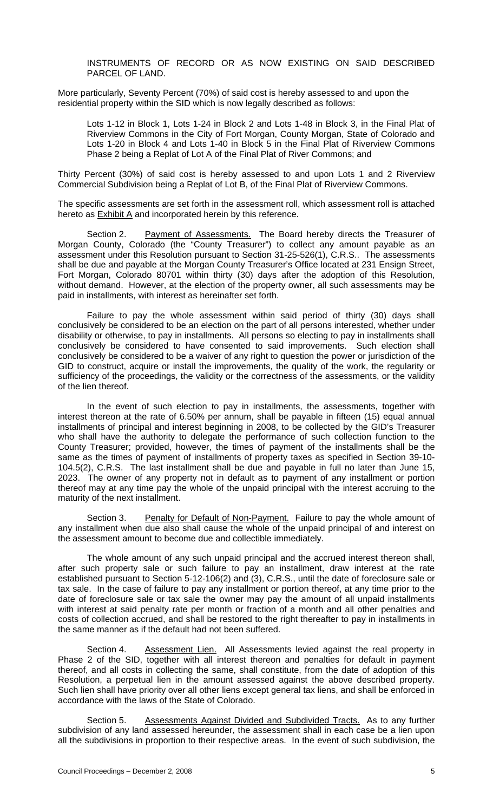INSTRUMENTS OF RECORD OR AS NOW EXISTING ON SAID DESCRIBED PARCEL OF LAND.

More particularly, Seventy Percent (70%) of said cost is hereby assessed to and upon the residential property within the SID which is now legally described as follows:

Lots 1-12 in Block 1, Lots 1-24 in Block 2 and Lots 1-48 in Block 3, in the Final Plat of Riverview Commons in the City of Fort Morgan, County Morgan, State of Colorado and Lots 1-20 in Block 4 and Lots 1-40 in Block 5 in the Final Plat of Riverview Commons Phase 2 being a Replat of Lot A of the Final Plat of River Commons; and

Thirty Percent (30%) of said cost is hereby assessed to and upon Lots 1 and 2 Riverview Commercial Subdivision being a Replat of Lot B, of the Final Plat of Riverview Commons.

The specific assessments are set forth in the assessment roll, which assessment roll is attached hereto as Exhibit A and incorporated herein by this reference.

Section 2. Payment of Assessments. The Board hereby directs the Treasurer of Morgan County, Colorado (the "County Treasurer") to collect any amount payable as an assessment under this Resolution pursuant to Section 31-25-526(1), C.R.S.. The assessments shall be due and payable at the Morgan County Treasurer's Office located at 231 Ensign Street, Fort Morgan, Colorado 80701 within thirty (30) days after the adoption of this Resolution, without demand. However, at the election of the property owner, all such assessments may be paid in installments, with interest as hereinafter set forth.

Failure to pay the whole assessment within said period of thirty (30) days shall conclusively be considered to be an election on the part of all persons interested, whether under disability or otherwise, to pay in installments. All persons so electing to pay in installments shall conclusively be considered to have consented to said improvements. Such election shall conclusively be considered to be a waiver of any right to question the power or jurisdiction of the GID to construct, acquire or install the improvements, the quality of the work, the regularity or sufficiency of the proceedings, the validity or the correctness of the assessments, or the validity of the lien thereof.

In the event of such election to pay in installments, the assessments, together with interest thereon at the rate of 6.50% per annum, shall be payable in fifteen (15) equal annual installments of principal and interest beginning in 2008, to be collected by the GID's Treasurer who shall have the authority to delegate the performance of such collection function to the County Treasurer; provided, however, the times of payment of the installments shall be the same as the times of payment of installments of property taxes as specified in Section 39-10- 104.5(2), C.R.S. The last installment shall be due and payable in full no later than June 15, 2023. The owner of any property not in default as to payment of any installment or portion thereof may at any time pay the whole of the unpaid principal with the interest accruing to the maturity of the next installment.

Section 3. Penalty for Default of Non-Payment. Failure to pay the whole amount of any installment when due also shall cause the whole of the unpaid principal of and interest on the assessment amount to become due and collectible immediately.

The whole amount of any such unpaid principal and the accrued interest thereon shall, after such property sale or such failure to pay an installment, draw interest at the rate established pursuant to Section 5-12-106(2) and (3), C.R.S., until the date of foreclosure sale or tax sale. In the case of failure to pay any installment or portion thereof, at any time prior to the date of foreclosure sale or tax sale the owner may pay the amount of all unpaid installments with interest at said penalty rate per month or fraction of a month and all other penalties and costs of collection accrued, and shall be restored to the right thereafter to pay in installments in the same manner as if the default had not been suffered.

Section 4. Assessment Lien. All Assessments levied against the real property in Phase 2 of the SID, together with all interest thereon and penalties for default in payment thereof, and all costs in collecting the same, shall constitute, from the date of adoption of this Resolution, a perpetual lien in the amount assessed against the above described property. Such lien shall have priority over all other liens except general tax liens, and shall be enforced in accordance with the laws of the State of Colorado.

Section 5. Assessments Against Divided and Subdivided Tracts. As to any further subdivision of any land assessed hereunder, the assessment shall in each case be a lien upon all the subdivisions in proportion to their respective areas. In the event of such subdivision, the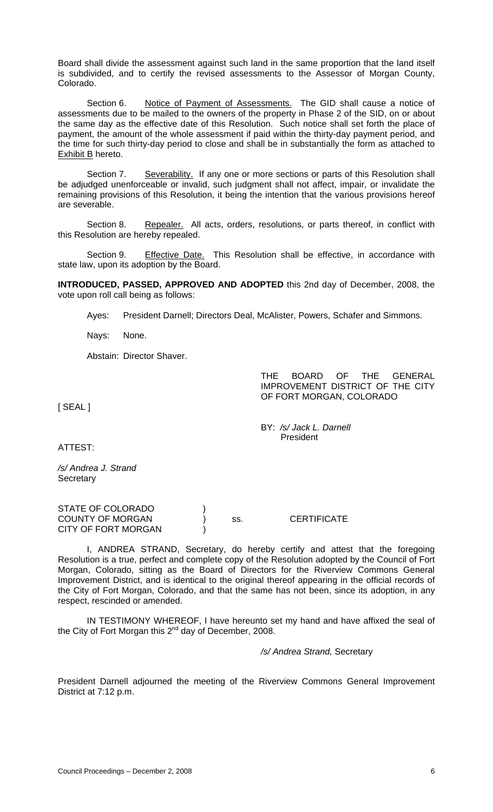Board shall divide the assessment against such land in the same proportion that the land itself is subdivided, and to certify the revised assessments to the Assessor of Morgan County, Colorado.

Section 6. Notice of Payment of Assessments. The GID shall cause a notice of assessments due to be mailed to the owners of the property in Phase 2 of the SID, on or about the same day as the effective date of this Resolution. Such notice shall set forth the place of payment, the amount of the whole assessment if paid within the thirty-day payment period, and the time for such thirty-day period to close and shall be in substantially the form as attached to Exhibit B hereto.

Section 7. Severability. If any one or more sections or parts of this Resolution shall be adjudged unenforceable or invalid, such judgment shall not affect, impair, or invalidate the remaining provisions of this Resolution, it being the intention that the various provisions hereof are severable.

Section 8. Repealer. All acts, orders, resolutions, or parts thereof, in conflict with this Resolution are hereby repealed.

Section 9. Effective Date. This Resolution shall be effective, in accordance with state law, upon its adoption by the Board.

**INTRODUCED, PASSED, APPROVED AND ADOPTED** this 2nd day of December, 2008, the vote upon roll call being as follows:

Ayes: President Darnell; Directors Deal, McAlister, Powers, Schafer and Simmons.

Nays: None.

Abstain: Director Shaver.

THE BOARD OF THE GENERAL IMPROVEMENT DISTRICT OF THE CITY OF FORT MORGAN, COLORADO

[ SEAL ]

 BY: */s/ Jack L. Darnell*  President

ATTEST:

*/s/ Andrea J. Strand*  **Secretary** 

| STATE OF COLORADO       |     |                    |
|-------------------------|-----|--------------------|
| <b>COUNTY OF MORGAN</b> | SS. | <b>CERTIFICATE</b> |
| CITY OF FORT MORGAN     |     |                    |

I, ANDREA STRAND, Secretary, do hereby certify and attest that the foregoing Resolution is a true, perfect and complete copy of the Resolution adopted by the Council of Fort Morgan, Colorado, sitting as the Board of Directors for the Riverview Commons General Improvement District, and is identical to the original thereof appearing in the official records of the City of Fort Morgan, Colorado, and that the same has not been, since its adoption, in any respect, rescinded or amended.

IN TESTIMONY WHEREOF, I have hereunto set my hand and have affixed the seal of the City of Fort Morgan this  $2^{nd}$  day of December, 2008.

*/s/ Andrea Strand,* Secretary

President Darnell adjourned the meeting of the Riverview Commons General Improvement District at 7:12 p.m.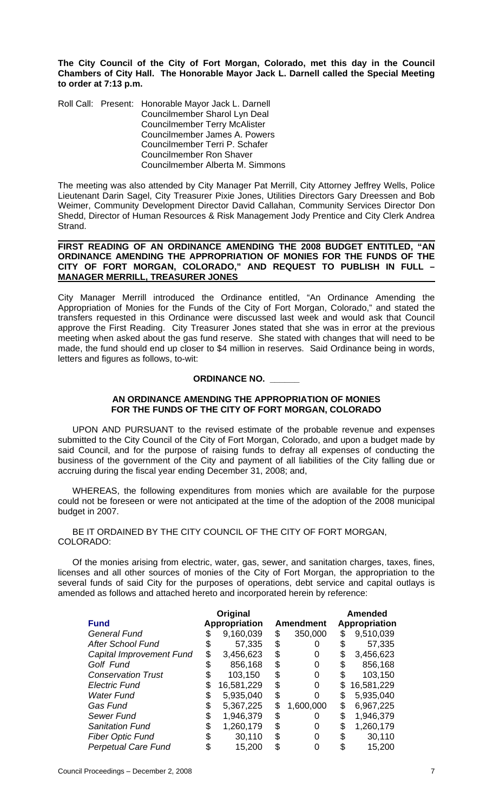**The City Council of the City of Fort Morgan, Colorado, met this day in the Council Chambers of City Hall. The Honorable Mayor Jack L. Darnell called the Special Meeting to order at 7:13 p.m.** 

Roll Call: Present: Honorable Mayor Jack L. Darnell Councilmember Sharol Lyn Deal Councilmember Terry McAlister Councilmember James A. Powers Councilmember Terri P. Schafer Councilmember Ron Shaver Councilmember Alberta M. Simmons

The meeting was also attended by City Manager Pat Merrill, City Attorney Jeffrey Wells, Police Lieutenant Darin Sagel, City Treasurer Pixie Jones, Utilities Directors Gary Dreessen and Bob Weimer, Community Development Director David Callahan, Community Services Director Don Shedd, Director of Human Resources & Risk Management Jody Prentice and City Clerk Andrea Strand.

#### **FIRST READING OF AN ORDINANCE AMENDING THE 2008 BUDGET ENTITLED, "AN ORDINANCE AMENDING THE APPROPRIATION OF MONIES FOR THE FUNDS OF THE CITY OF FORT MORGAN, COLORADO," AND REQUEST TO PUBLISH IN FULL – MANAGER MERRILL, TREASURER JONES**

City Manager Merrill introduced the Ordinance entitled, "An Ordinance Amending the Appropriation of Monies for the Funds of the City of Fort Morgan, Colorado," and stated the transfers requested in this Ordinance were discussed last week and would ask that Council approve the First Reading. City Treasurer Jones stated that she was in error at the previous meeting when asked about the gas fund reserve. She stated with changes that will need to be made, the fund should end up closer to \$4 million in reserves. Said Ordinance being in words, letters and figures as follows, to-wit:

## **ORDINANCE NO. \_\_\_\_\_\_**

## **AN ORDINANCE AMENDING THE APPROPRIATION OF MONIES FOR THE FUNDS OF THE CITY OF FORT MORGAN, COLORADO**

UPON AND PURSUANT to the revised estimate of the probable revenue and expenses submitted to the City Council of the City of Fort Morgan, Colorado, and upon a budget made by said Council, and for the purpose of raising funds to defray all expenses of conducting the business of the government of the City and payment of all liabilities of the City falling due or accruing during the fiscal year ending December 31, 2008; and,

WHEREAS, the following expenditures from monies which are available for the purpose could not be foreseen or were not anticipated at the time of the adoption of the 2008 municipal budget in 2007.

### BE IT ORDAINED BY THE CITY COUNCIL OF THE CITY OF FORT MORGAN, COLORADO:

 Of the monies arising from electric, water, gas, sewer, and sanitation charges, taxes, fines, licenses and all other sources of monies of the City of Fort Morgan, the appropriation to the several funds of said City for the purposes of operations, debt service and capital outlays is amended as follows and attached hereto and incorporated herein by reference:

|                            |    | Original             |    |                  |    | <b>Amended</b> |  |
|----------------------------|----|----------------------|----|------------------|----|----------------|--|
| <b>Fund</b>                |    | <b>Appropriation</b> |    | <b>Amendment</b> |    | Appropriation  |  |
| <b>General Fund</b>        |    | 9,160,039            | \$ | 350,000          | \$ | 9,510,039      |  |
| <b>After School Fund</b>   |    | 57,335               | \$ |                  |    | 57,335         |  |
| Capital Improvement Fund   | \$ | 3,456,623            | \$ |                  |    | 3,456,623      |  |
| Golf Fund                  |    | 856,168              | S  |                  |    | 856,168        |  |
| <b>Conservation Trust</b>  |    | 103,150              | \$ |                  |    | 103,150        |  |
| <b>Electric Fund</b>       |    | 16,581,229           | S  |                  | S  | 16,581,229     |  |
| <b>Water Fund</b>          | \$ | 5,935,040            | \$ |                  | S  | 5,935,040      |  |
| Gas Fund                   | \$ | 5,367,225            | \$ | 1,600,000        | \$ | 6,967,225      |  |
| Sewer Fund                 | S  | 1,946,379            | S. |                  | S. | 1,946,379      |  |
| <b>Sanitation Fund</b>     |    | 1,260,179            | S  |                  |    | 1,260,179      |  |
| <b>Fiber Optic Fund</b>    |    | 30,110               |    |                  |    | 30,110         |  |
| <b>Perpetual Care Fund</b> |    | 15,200               |    |                  |    | 15,200         |  |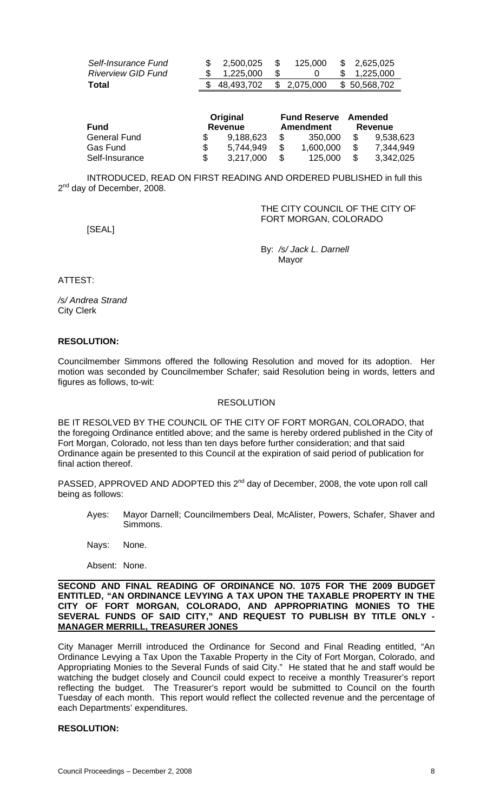| Self-Insurance Fund              | 2,500,025                  | 125,000 | \$2,625,025  |
|----------------------------------|----------------------------|---------|--------------|
| <i><b>Riverview GID Fund</b></i> | \$ 1,225,000               |         | \$1,225,000  |
| Total                            | \$ 48,493,702 \$ 2,075,000 |         | \$50,568,702 |

| Fund                | Original<br>Revenue | <b>Fund Reserve</b><br><b>Amendment</b> |    | Amended<br>Revenue |
|---------------------|---------------------|-----------------------------------------|----|--------------------|
| <b>General Fund</b> | 9,188,623           | 350.000                                 |    | 9,538,623          |
| Gas Fund            | 5.744.949           | 1,600,000                               | \$ | 7,344,949          |
| Self-Insurance      | 3,217,000           | 125,000                                 | S  | 3,342,025          |

INTRODUCED, READ ON FIRST READING AND ORDERED PUBLISHED in full this 2<sup>nd</sup> day of December, 2008.

> THE CITY COUNCIL OF THE CITY OF FORT MORGAN, COLORADO

[SEAL]

 By: */s/ Jack L. Darnell*  discussion of the contract of the Mayor Mayor

ATTEST:

*/s/ Andrea Strand*  City Clerk

### **RESOLUTION:**

Councilmember Simmons offered the following Resolution and moved for its adoption. Her motion was seconded by Councilmember Schafer; said Resolution being in words, letters and figures as follows, to-wit:

#### RESOLUTION

BE IT RESOLVED BY THE COUNCIL OF THE CITY OF FORT MORGAN, COLORADO, that the foregoing Ordinance entitled above; and the same is hereby ordered published in the City of Fort Morgan, Colorado, not less than ten days before further consideration; and that said Ordinance again be presented to this Council at the expiration of said period of publication for final action thereof.

PASSED, APPROVED AND ADOPTED this 2<sup>nd</sup> day of December, 2008, the vote upon roll call being as follows:

Ayes: Mayor Darnell; Councilmembers Deal, McAlister, Powers, Schafer, Shaver and Simmons.

Nays: None.

Absent: None.

#### **SECOND AND FINAL READING OF ORDINANCE NO. 1075 FOR THE 2009 BUDGET ENTITLED, "AN ORDINANCE LEVYING A TAX UPON THE TAXABLE PROPERTY IN THE CITY OF FORT MORGAN, COLORADO, AND APPROPRIATING MONIES TO THE SEVERAL FUNDS OF SAID CITY," AND REQUEST TO PUBLISH BY TITLE ONLY - MANAGER MERRILL, TREASURER JONES**

City Manager Merrill introduced the Ordinance for Second and Final Reading entitled, "An Ordinance Levying a Tax Upon the Taxable Property in the City of Fort Morgan, Colorado, and Appropriating Monies to the Several Funds of said City." He stated that he and staff would be watching the budget closely and Council could expect to receive a monthly Treasurer's report reflecting the budget. The Treasurer's report would be submitted to Council on the fourth Tuesday of each month. This report would reflect the collected revenue and the percentage of each Departments' expenditures.

#### **RESOLUTION:**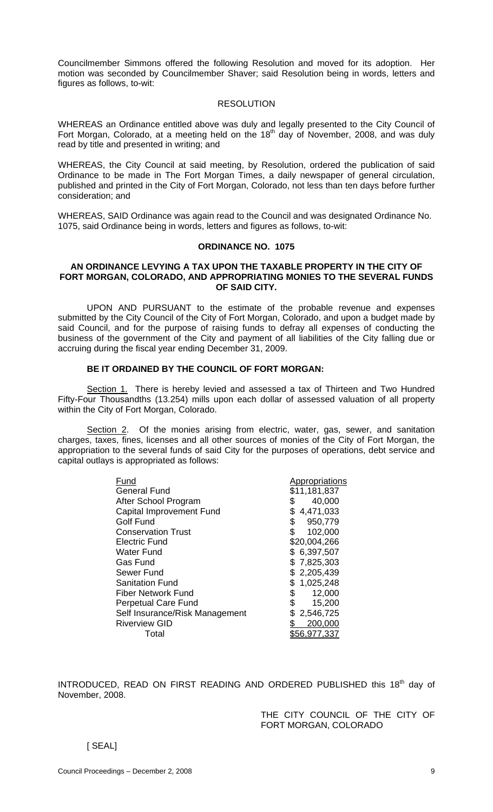Councilmember Simmons offered the following Resolution and moved for its adoption. Her motion was seconded by Councilmember Shaver; said Resolution being in words, letters and figures as follows, to-wit:

#### **RESOLUTION**

WHEREAS an Ordinance entitled above was duly and legally presented to the City Council of Fort Morgan, Colorado, at a meeting held on the  $18<sup>th</sup>$  day of November, 2008, and was duly read by title and presented in writing; and

WHEREAS, the City Council at said meeting, by Resolution, ordered the publication of said Ordinance to be made in The Fort Morgan Times, a daily newspaper of general circulation, published and printed in the City of Fort Morgan, Colorado, not less than ten days before further consideration; and

WHEREAS, SAID Ordinance was again read to the Council and was designated Ordinance No. 1075, said Ordinance being in words, letters and figures as follows, to-wit:

#### **ORDINANCE NO. 1075**

### **AN ORDINANCE LEVYING A TAX UPON THE TAXABLE PROPERTY IN THE CITY OF FORT MORGAN, COLORADO, AND APPROPRIATING MONIES TO THE SEVERAL FUNDS OF SAID CITY.**

 UPON AND PURSUANT to the estimate of the probable revenue and expenses submitted by the City Council of the City of Fort Morgan, Colorado, and upon a budget made by said Council, and for the purpose of raising funds to defray all expenses of conducting the business of the government of the City and payment of all liabilities of the City falling due or accruing during the fiscal year ending December 31, 2009.

## **BE IT ORDAINED BY THE COUNCIL OF FORT MORGAN:**

Section 1. There is hereby levied and assessed a tax of Thirteen and Two Hundred Fifty-Four Thousandths (13.254) mills upon each dollar of assessed valuation of all property within the City of Fort Morgan, Colorado.

Section 2. Of the monies arising from electric, water, gas, sewer, and sanitation charges, taxes, fines, licenses and all other sources of monies of the City of Fort Morgan, the appropriation to the several funds of said City for the purposes of operations, debt service and capital outlays is appropriated as follows:

| Fund                            | Appropriations |
|---------------------------------|----------------|
| <b>General Fund</b>             | \$11,181,837   |
| After School Program            | 40,000<br>\$   |
| <b>Capital Improvement Fund</b> | 4,471,033      |
| <b>Golf Fund</b>                | 950,779<br>\$  |
| <b>Conservation Trust</b>       | \$<br>102,000  |
| <b>Electric Fund</b>            | \$20,004,266   |
| Water Fund                      | \$6,397,507    |
| <b>Gas Fund</b>                 | \$7,825,303    |
| Sewer Fund                      | \$2,205,439    |
| <b>Sanitation Fund</b>          | 1,025,248      |
| Fiber Network Fund              | \$<br>12,000   |
| <b>Perpetual Care Fund</b>      | \$<br>15,200   |
| Self Insurance/Risk Management  | 2,546,725      |
| <b>Riverview GID</b>            | 200,000        |
| Total                           | 56.977.337     |
|                                 |                |

INTRODUCED, READ ON FIRST READING AND ORDERED PUBLISHED this 18<sup>th</sup> day of November, 2008.

> THE CITY COUNCIL OF THE CITY OF FORT MORGAN, COLORADO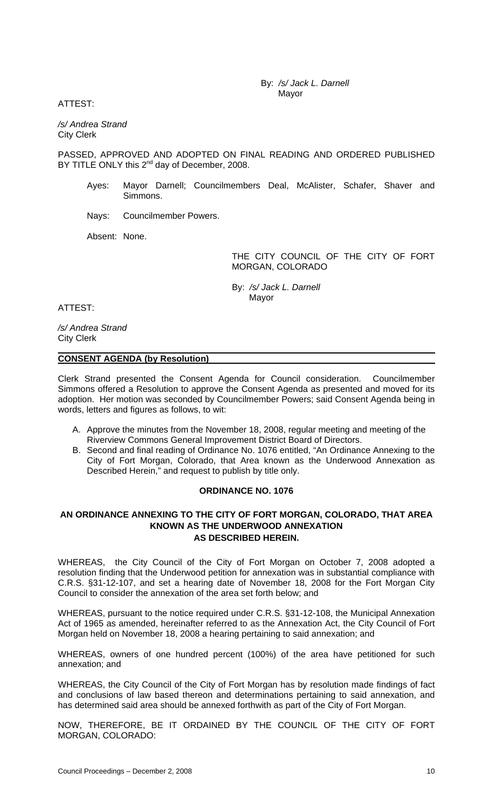By: */s/ Jack L. Darnell*  Mayor

ATTEST:

*/s/ Andrea Strand*  City Clerk

PASSED, APPROVED AND ADOPTED ON FINAL READING AND ORDERED PUBLISHED BY TITLE ONLY this 2<sup>nd</sup> day of December, 2008.

- Ayes: Mayor Darnell; Councilmembers Deal, McAlister, Schafer, Shaver and Simmons.
- Nays: Councilmember Powers.

Absent: None.

THE CITY COUNCIL OF THE CITY OF FORT MORGAN, COLORADO

 By: */s/ Jack L. Darnell* Mayor

ATTEST:

*/s/ Andrea Strand*  City Clerk

### **CONSENT AGENDA (by Resolution)**

Clerk Strand presented the Consent Agenda for Council consideration. Councilmember Simmons offered a Resolution to approve the Consent Agenda as presented and moved for its adoption. Her motion was seconded by Councilmember Powers; said Consent Agenda being in words, letters and figures as follows, to wit:

- A. Approve the minutes from the November 18, 2008, regular meeting and meeting of the Riverview Commons General Improvement District Board of Directors.
- B. Second and final reading of Ordinance No. 1076 entitled, "An Ordinance Annexing to the City of Fort Morgan, Colorado, that Area known as the Underwood Annexation as Described Herein," and request to publish by title only.

#### **ORDINANCE NO. 1076**

## **AN ORDINANCE ANNEXING TO THE CITY OF FORT MORGAN, COLORADO, THAT AREA KNOWN AS THE UNDERWOOD ANNEXATION AS DESCRIBED HEREIN.**

WHEREAS, the City Council of the City of Fort Morgan on October 7, 2008 adopted a resolution finding that the Underwood petition for annexation was in substantial compliance with C.R.S. §31-12-107, and set a hearing date of November 18, 2008 for the Fort Morgan City Council to consider the annexation of the area set forth below; and

WHEREAS, pursuant to the notice required under C.R.S. §31-12-108, the Municipal Annexation Act of 1965 as amended, hereinafter referred to as the Annexation Act, the City Council of Fort Morgan held on November 18, 2008 a hearing pertaining to said annexation; and

WHEREAS, owners of one hundred percent (100%) of the area have petitioned for such annexation; and

WHEREAS, the City Council of the City of Fort Morgan has by resolution made findings of fact and conclusions of law based thereon and determinations pertaining to said annexation, and has determined said area should be annexed forthwith as part of the City of Fort Morgan.

NOW, THEREFORE, BE IT ORDAINED BY THE COUNCIL OF THE CITY OF FORT MORGAN, COLORADO: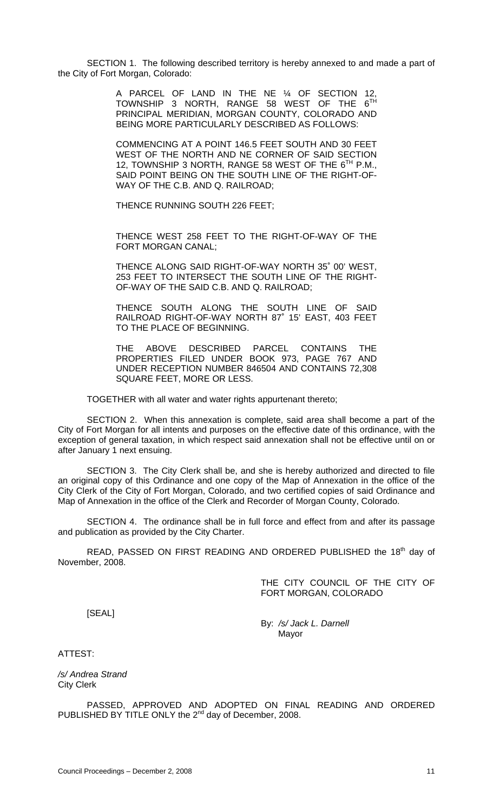SECTION 1.The following described territory is hereby annexed to and made a part of the City of Fort Morgan, Colorado:

> A PARCEL OF LAND IN THE NE ¼ OF SECTION 12, TOWNSHIP 3 NORTH, RANGE 58 WEST OF THE  $6^{\text{TH}}$ PRINCIPAL MERIDIAN, MORGAN COUNTY, COLORADO AND BEING MORE PARTICULARLY DESCRIBED AS FOLLOWS:

> COMMENCING AT A POINT 146.5 FEET SOUTH AND 30 FEET WEST OF THE NORTH AND NE CORNER OF SAID SECTION 12, TOWNSHIP 3 NORTH, RANGE 58 WEST OF THE 6<sup>TH</sup> P.M., SAID POINT BEING ON THE SOUTH LINE OF THE RIGHT-OF-WAY OF THE C.B. AND Q. RAILROAD;

THENCE RUNNING SOUTH 226 FEET;

THENCE WEST 258 FEET TO THE RIGHT-OF-WAY OF THE FORT MORGAN CANAL;

THENCE ALONG SAID RIGHT-OF-WAY NORTH 35˚ 00' WEST, 253 FEET TO INTERSECT THE SOUTH LINE OF THE RIGHT-OF-WAY OF THE SAID C.B. AND Q. RAILROAD;

THENCE SOUTH ALONG THE SOUTH LINE OF SAID RAILROAD RIGHT-OF-WAY NORTH 87˚ 15' EAST, 403 FEET TO THE PLACE OF BEGINNING.

THE ABOVE DESCRIBED PARCEL CONTAINS THE PROPERTIES FILED UNDER BOOK 973, PAGE 767 AND UNDER RECEPTION NUMBER 846504 AND CONTAINS 72,308 SQUARE FEET, MORE OR LESS.

TOGETHER with all water and water rights appurtenant thereto;

SECTION 2. When this annexation is complete, said area shall become a part of the City of Fort Morgan for all intents and purposes on the effective date of this ordinance, with the exception of general taxation, in which respect said annexation shall not be effective until on or after January 1 next ensuing.

SECTION 3. The City Clerk shall be, and she is hereby authorized and directed to file an original copy of this Ordinance and one copy of the Map of Annexation in the office of the City Clerk of the City of Fort Morgan, Colorado, and two certified copies of said Ordinance and Map of Annexation in the office of the Clerk and Recorder of Morgan County, Colorado.

SECTION 4. The ordinance shall be in full force and effect from and after its passage and publication as provided by the City Charter.

READ, PASSED ON FIRST READING AND ORDERED PUBLISHED the 18<sup>th</sup> day of November, 2008.

> THE CITY COUNCIL OF THE CITY OF FORT MORGAN, COLORADO

[SEAL]

By: */s/ Jack L. Darnell*  Mayor

ATTEST:

*/s/ Andrea Strand*  City Clerk

PASSED, APPROVED AND ADOPTED ON FINAL READING AND ORDERED PUBLISHED BY TITLE ONLY the 2<sup>nd</sup> day of December, 2008.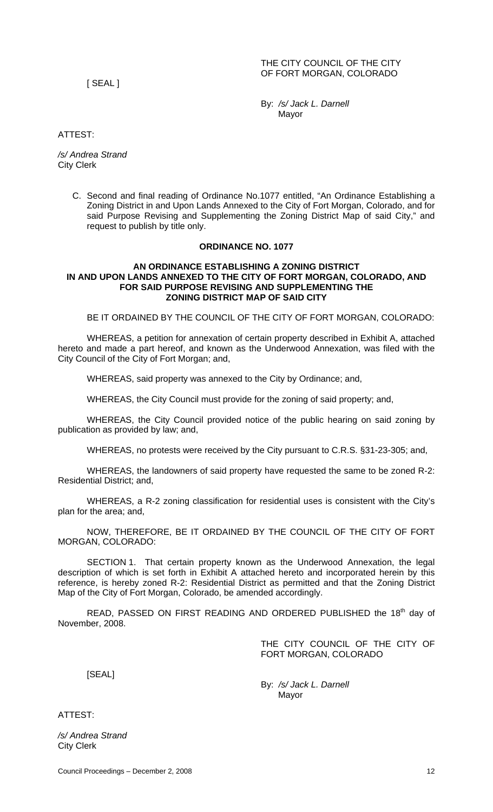#### THE CITY COUNCIL OF THE CITY OF FORT MORGAN, COLORADO

[ SEAL ]

By: */s/ Jack L. Darnell*  Mayor

ATTEST:

*/s/ Andrea Strand*  City Clerk

> C. Second and final reading of Ordinance No.1077 entitled, "An Ordinance Establishing a Zoning District in and Upon Lands Annexed to the City of Fort Morgan, Colorado, and for said Purpose Revising and Supplementing the Zoning District Map of said City," and request to publish by title only.

#### **ORDINANCE NO. 1077**

#### **AN ORDINANCE ESTABLISHING A ZONING DISTRICT IN AND UPON LANDS ANNEXED TO THE CITY OF FORT MORGAN, COLORADO, AND FOR SAID PURPOSE REVISING AND SUPPLEMENTING THE ZONING DISTRICT MAP OF SAID CITY**

BE IT ORDAINED BY THE COUNCIL OF THE CITY OF FORT MORGAN, COLORADO:

WHEREAS, a petition for annexation of certain property described in Exhibit A, attached hereto and made a part hereof, and known as the Underwood Annexation, was filed with the City Council of the City of Fort Morgan; and,

WHEREAS, said property was annexed to the City by Ordinance; and,

WHEREAS, the City Council must provide for the zoning of said property; and,

WHEREAS, the City Council provided notice of the public hearing on said zoning by publication as provided by law; and,

WHEREAS, no protests were received by the City pursuant to C.R.S. §31-23-305; and,

WHEREAS, the landowners of said property have requested the same to be zoned R-2: Residential District; and,

WHEREAS, a R-2 zoning classification for residential uses is consistent with the City's plan for the area; and,

NOW, THEREFORE, BE IT ORDAINED BY THE COUNCIL OF THE CITY OF FORT MORGAN, COLORADO:

SECTION 1. That certain property known as the Underwood Annexation, the legal description of which is set forth in Exhibit A attached hereto and incorporated herein by this reference, is hereby zoned R-2: Residential District as permitted and that the Zoning District Map of the City of Fort Morgan, Colorado, be amended accordingly.

READ, PASSED ON FIRST READING AND ORDERED PUBLISHED the 18<sup>th</sup> day of November, 2008.

> THE CITY COUNCIL OF THE CITY OF FORT MORGAN, COLORADO

[SEAL]

By: */s/ Jack L. Darnell*  Mayor

ATTEST:

*/s/ Andrea Strand*  City Clerk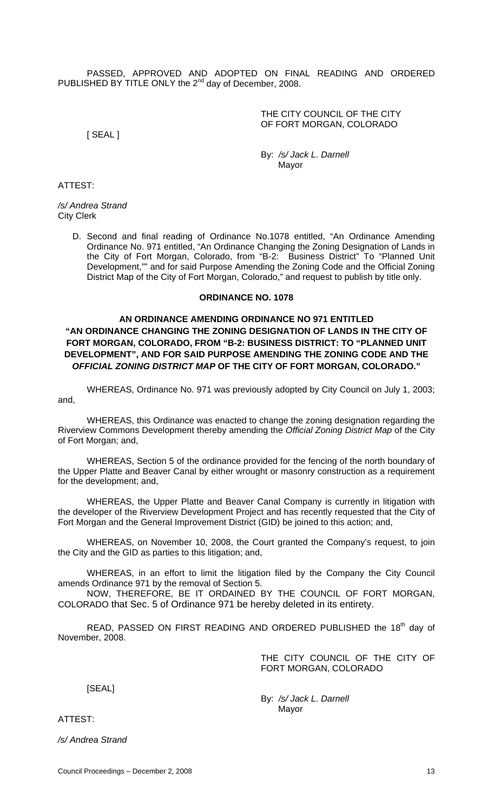PASSED, APPROVED AND ADOPTED ON FINAL READING AND ORDERED PUBLISHED BY TITLE ONLY the 2<sup>nd</sup> day of December, 2008.

> THE CITY COUNCIL OF THE CITY OF FORT MORGAN, COLORADO

[ SEAL ]

By: */s/ Jack L. Darnell*  Mayor

ATTEST:

*/s/ Andrea Strand*  City Clerk

> D. Second and final reading of Ordinance No.1078 entitled, "An Ordinance Amending Ordinance No. 971 entitled, "An Ordinance Changing the Zoning Designation of Lands in the City of Fort Morgan, Colorado, from "B-2: Business District" To "Planned Unit Development,"" and for said Purpose Amending the Zoning Code and the Official Zoning District Map of the City of Fort Morgan, Colorado," and request to publish by title only.

#### **ORDINANCE NO. 1078**

## **AN ORDINANCE AMENDING ORDINANCE NO 971 ENTITLED "AN ORDINANCE CHANGING THE ZONING DESIGNATION OF LANDS IN THE CITY OF FORT MORGAN, COLORADO, FROM "B-2: BUSINESS DISTRICT: TO "PLANNED UNIT DEVELOPMENT", AND FOR SAID PURPOSE AMENDING THE ZONING CODE AND THE**  *OFFICIAL ZONING DISTRICT MAP* **OF THE CITY OF FORT MORGAN, COLORADO."**

WHEREAS, Ordinance No. 971 was previously adopted by City Council on July 1, 2003; and,

WHEREAS, this Ordinance was enacted to change the zoning designation regarding the Riverview Commons Development thereby amending the *Official Zoning District Map* of the City of Fort Morgan; and,

 WHEREAS, Section 5 of the ordinance provided for the fencing of the north boundary of the Upper Platte and Beaver Canal by either wrought or masonry construction as a requirement for the development; and,

 WHEREAS, the Upper Platte and Beaver Canal Company is currently in litigation with the developer of the Riverview Development Project and has recently requested that the City of Fort Morgan and the General Improvement District (GID) be joined to this action; and,

WHEREAS, on November 10, 2008, the Court granted the Company's request, to join the City and the GID as parties to this litigation; and,

WHEREAS, in an effort to limit the litigation filed by the Company the City Council amends Ordinance 971 by the removal of Section 5.

 NOW, THEREFORE, BE IT ORDAINED BY THE COUNCIL OF FORT MORGAN, COLORADO that Sec. 5 of Ordinance 971 be hereby deleted in its entirety.

READ, PASSED ON FIRST READING AND ORDERED PUBLISHED the 18<sup>th</sup> day of November, 2008.

> THE CITY COUNCIL OF THE CITY OF FORT MORGAN, COLORADO

[SEAL]

By: */s/ Jack L. Darnell*  Mayor

ATTEST:

*/s/ Andrea Strand*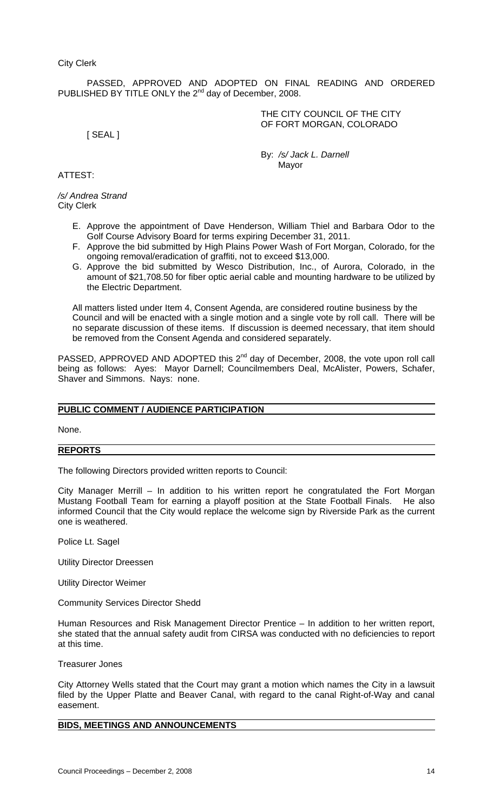PASSED, APPROVED AND ADOPTED ON FINAL READING AND ORDERED PUBLISHED BY TITLE ONLY the 2<sup>nd</sup> day of December, 2008.

> THE CITY COUNCIL OF THE CITY OF FORT MORGAN, COLORADO

[ SEAL ]

By: */s/ Jack L. Darnell*  Mayor

## ATTEST:

*/s/ Andrea Strand*  City Clerk

- E. Approve the appointment of Dave Henderson, William Thiel and Barbara Odor to the Golf Course Advisory Board for terms expiring December 31, 2011.
- F. Approve the bid submitted by High Plains Power Wash of Fort Morgan, Colorado, for the ongoing removal/eradication of graffiti, not to exceed \$13,000.
- G. Approve the bid submitted by Wesco Distribution, Inc., of Aurora, Colorado, in the amount of \$21,708.50 for fiber optic aerial cable and mounting hardware to be utilized by the Electric Department.

 All matters listed under Item 4, Consent Agenda, are considered routine business by the Council and will be enacted with a single motion and a single vote by roll call. There will be no separate discussion of these items. If discussion is deemed necessary, that item should be removed from the Consent Agenda and considered separately.

PASSED, APPROVED AND ADOPTED this 2<sup>nd</sup> day of December, 2008, the vote upon roll call being as follows: Ayes: Mayor Darnell; Councilmembers Deal, McAlister, Powers, Schafer, Shaver and Simmons. Nays: none.

# **PUBLIC COMMENT / AUDIENCE PARTICIPATION**

None.

#### **REPORTS**

The following Directors provided written reports to Council:

City Manager Merrill – In addition to his written report he congratulated the Fort Morgan Mustang Football Team for earning a playoff position at the State Football Finals. He also informed Council that the City would replace the welcome sign by Riverside Park as the current one is weathered.

Police Lt. Sagel

Utility Director Dreessen

Utility Director Weimer

Community Services Director Shedd

Human Resources and Risk Management Director Prentice – In addition to her written report, she stated that the annual safety audit from CIRSA was conducted with no deficiencies to report at this time.

Treasurer Jones

City Attorney Wells stated that the Court may grant a motion which names the City in a lawsuit filed by the Upper Platte and Beaver Canal, with regard to the canal Right-of-Way and canal easement.

# **BIDS, MEETINGS AND ANNOUNCEMENTS**